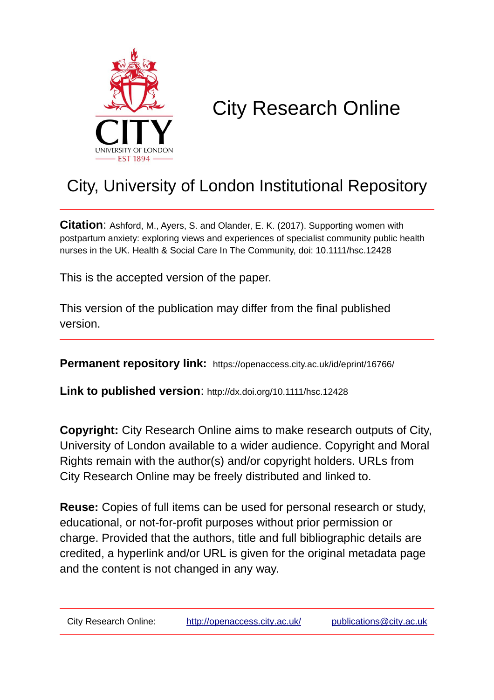

# City Research Online

## City, University of London Institutional Repository

**Citation**: Ashford, M., Ayers, S. and Olander, E. K. (2017). Supporting women with postpartum anxiety: exploring views and experiences of specialist community public health nurses in the UK. Health & Social Care In The Community, doi: 10.1111/hsc.12428

This is the accepted version of the paper.

This version of the publication may differ from the final published version.

**Permanent repository link:** https://openaccess.city.ac.uk/id/eprint/16766/

**Link to published version**: http://dx.doi.org/10.1111/hsc.12428

**Copyright:** City Research Online aims to make research outputs of City, University of London available to a wider audience. Copyright and Moral Rights remain with the author(s) and/or copyright holders. URLs from City Research Online may be freely distributed and linked to.

**Reuse:** Copies of full items can be used for personal research or study, educational, or not-for-profit purposes without prior permission or charge. Provided that the authors, title and full bibliographic details are credited, a hyperlink and/or URL is given for the original metadata page and the content is not changed in any way.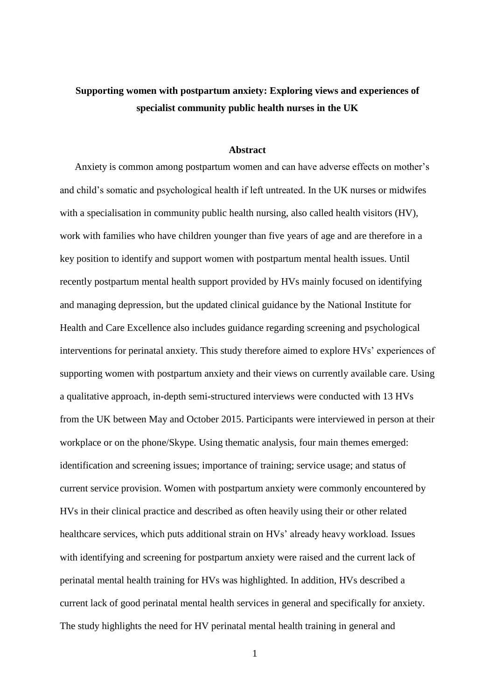## **Supporting women with postpartum anxiety: Exploring views and experiences of specialist community public health nurses in the UK**

#### **Abstract**

Anxiety is common among postpartum women and can have adverse effects on mother's and child's somatic and psychological health if left untreated. In the UK nurses or midwifes with a specialisation in community public health nursing, also called health visitors (HV), work with families who have children younger than five years of age and are therefore in a key position to identify and support women with postpartum mental health issues. Until recently postpartum mental health support provided by HVs mainly focused on identifying and managing depression, but the updated clinical guidance by the National Institute for Health and Care Excellence also includes guidance regarding screening and psychological interventions for perinatal anxiety. This study therefore aimed to explore HVs' experiences of supporting women with postpartum anxiety and their views on currently available care. Using a qualitative approach, in-depth semi-structured interviews were conducted with 13 HVs from the UK between May and October 2015. Participants were interviewed in person at their workplace or on the phone/Skype. Using thematic analysis, four main themes emerged: identification and screening issues; importance of training; service usage; and status of current service provision. Women with postpartum anxiety were commonly encountered by HVs in their clinical practice and described as often heavily using their or other related healthcare services, which puts additional strain on HVs' already heavy workload. Issues with identifying and screening for postpartum anxiety were raised and the current lack of perinatal mental health training for HVs was highlighted. In addition, HVs described a current lack of good perinatal mental health services in general and specifically for anxiety. The study highlights the need for HV perinatal mental health training in general and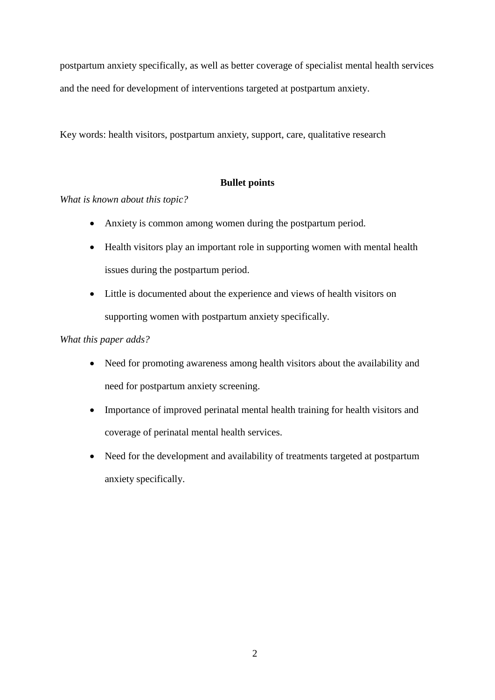postpartum anxiety specifically, as well as better coverage of specialist mental health services and the need for development of interventions targeted at postpartum anxiety.

Key words: health visitors, postpartum anxiety, support, care, qualitative research

## **Bullet points**

*What is known about this topic?*

- Anxiety is common among women during the postpartum period.
- Health visitors play an important role in supporting women with mental health issues during the postpartum period.
- Little is documented about the experience and views of health visitors on supporting women with postpartum anxiety specifically.

### *What this paper adds?*

- Need for promoting awareness among health visitors about the availability and need for postpartum anxiety screening.
- Importance of improved perinatal mental health training for health visitors and coverage of perinatal mental health services.
- Need for the development and availability of treatments targeted at postpartum anxiety specifically.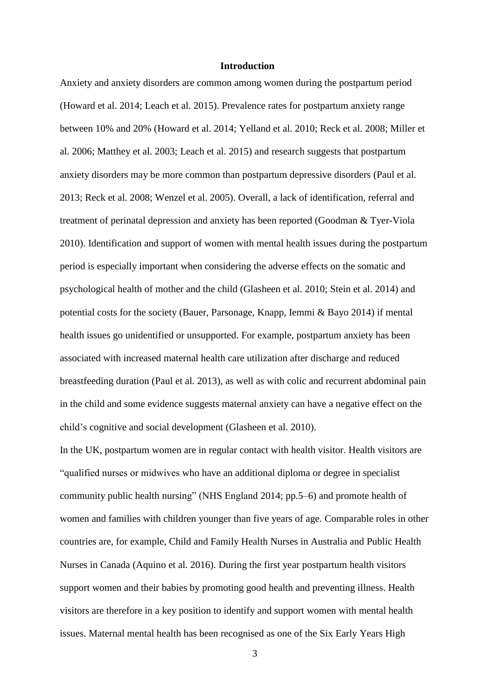#### **Introduction**

Anxiety and anxiety disorders are common among women during the postpartum period (Howard et al. 2014; Leach et al. 2015). Prevalence rates for postpartum anxiety range between 10% and 20% (Howard et al. 2014; Yelland et al. 2010; Reck et al. 2008; Miller et al. 2006; Matthey et al. 2003; Leach et al. 2015) and research suggests that postpartum anxiety disorders may be more common than postpartum depressive disorders (Paul et al. 2013; Reck et al. 2008; Wenzel et al. 2005). Overall, a lack of identification, referral and treatment of perinatal depression and anxiety has been reported (Goodman & Tyer-Viola 2010). Identification and support of women with mental health issues during the postpartum period is especially important when considering the adverse effects on the somatic and psychological health of mother and the child (Glasheen et al. 2010; Stein et al. 2014) and potential costs for the society (Bauer, Parsonage, Knapp, Iemmi & Bayo 2014) if mental health issues go unidentified or unsupported. For example, postpartum anxiety has been associated with increased maternal health care utilization after discharge and reduced breastfeeding duration (Paul et al. 2013), as well as with colic and recurrent abdominal pain in the child and some evidence suggests maternal anxiety can have a negative effect on the child's cognitive and social development (Glasheen et al. 2010).

In the UK, postpartum women are in regular contact with health visitor. Health visitors are "qualified nurses or midwives who have an additional diploma or degree in specialist community public health nursing" (NHS England 2014; pp.5–6) and promote health of women and families with children younger than five years of age. Comparable roles in other countries are, for example, Child and Family Health Nurses in Australia and Public Health Nurses in Canada (Aquino et al. 2016). During the first year postpartum health visitors support women and their babies by promoting good health and preventing illness. Health visitors are therefore in a key position to identify and support women with mental health issues. Maternal mental health has been recognised as one of the Six Early Years High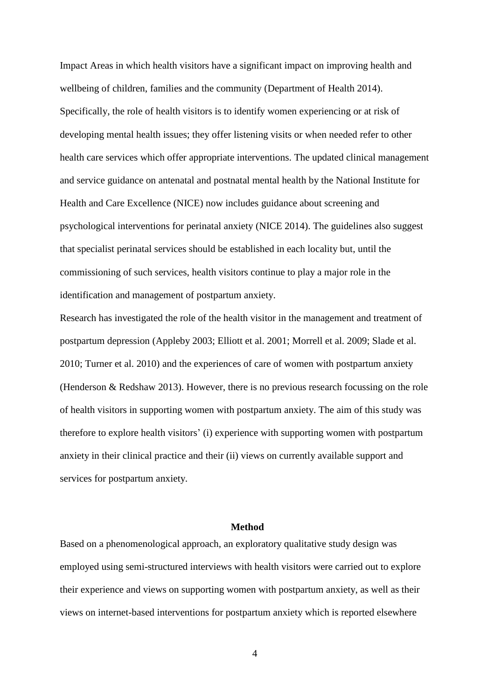Impact Areas in which health visitors have a significant impact on improving health and wellbeing of children, families and the community (Department of Health 2014). Specifically, the role of health visitors is to identify women experiencing or at risk of developing mental health issues; they offer listening visits or when needed refer to other health care services which offer appropriate interventions. The updated clinical management and service guidance on antenatal and postnatal mental health by the National Institute for Health and Care Excellence (NICE) now includes guidance about screening and psychological interventions for perinatal anxiety (NICE 2014). The guidelines also suggest that specialist perinatal services should be established in each locality but, until the commissioning of such services, health visitors continue to play a major role in the identification and management of postpartum anxiety.

Research has investigated the role of the health visitor in the management and treatment of postpartum depression (Appleby 2003; Elliott et al. 2001; Morrell et al. 2009; Slade et al. 2010; Turner et al. 2010) and the experiences of care of women with postpartum anxiety (Henderson & Redshaw 2013). However, there is no previous research focussing on the role of health visitors in supporting women with postpartum anxiety. The aim of this study was therefore to explore health visitors' (i) experience with supporting women with postpartum anxiety in their clinical practice and their (ii) views on currently available support and services for postpartum anxiety.

#### **Method**

Based on a phenomenological approach, an exploratory qualitative study design was employed using semi-structured interviews with health visitors were carried out to explore their experience and views on supporting women with postpartum anxiety, as well as their views on internet-based interventions for postpartum anxiety which is reported elsewhere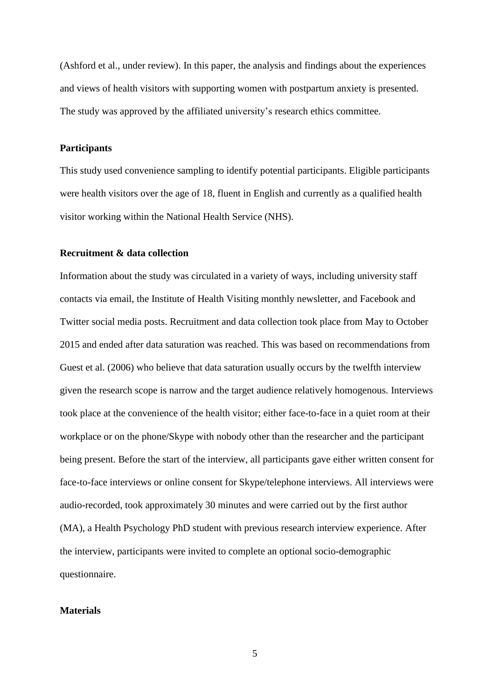(Ashford et al., under review). In this paper, the analysis and findings about the experiences and views of health visitors with supporting women with postpartum anxiety is presented. The study was approved by the affiliated university's research ethics committee.

#### **Participants**

This study used convenience sampling to identify potential participants. Eligible participants were health visitors over the age of 18, fluent in English and currently as a qualified health visitor working within the National Health Service (NHS).

#### **Recruitment & data collection**

Information about the study was circulated in a variety of ways, including university staff contacts via email, the Institute of Health Visiting monthly newsletter, and Facebook and Twitter social media posts. Recruitment and data collection took place from May to October 2015 and ended after data saturation was reached. This was based on recommendations from Guest et al. (2006) who believe that data saturation usually occurs by the twelfth interview given the research scope is narrow and the target audience relatively homogenous. Interviews took place at the convenience of the health visitor; either face-to-face in a quiet room at their workplace or on the phone/Skype with nobody other than the researcher and the participant being present. Before the start of the interview, all participants gave either written consent for face-to-face interviews or online consent for Skype/telephone interviews. All interviews were audio-recorded, took approximately 30 minutes and were carried out by the first author (MA), a Health Psychology PhD student with previous research interview experience. After the interview, participants were invited to complete an optional socio-demographic questionnaire.

#### **Materials**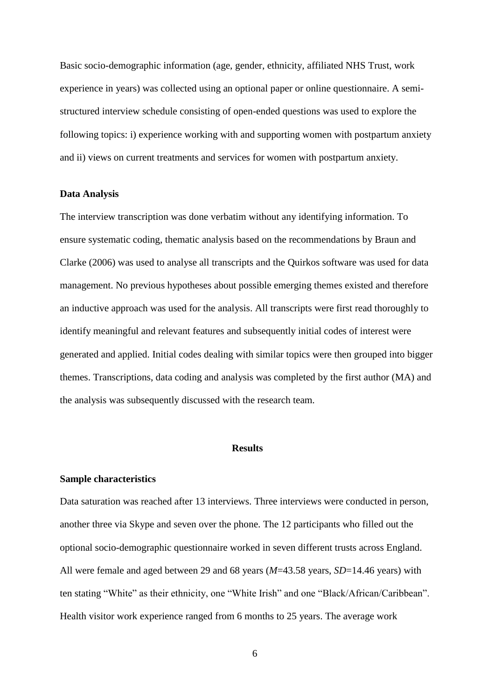Basic socio-demographic information (age, gender, ethnicity, affiliated NHS Trust, work experience in years) was collected using an optional paper or online questionnaire. A semistructured interview schedule consisting of open-ended questions was used to explore the following topics: i) experience working with and supporting women with postpartum anxiety and ii) views on current treatments and services for women with postpartum anxiety.

#### **Data Analysis**

The interview transcription was done verbatim without any identifying information. To ensure systematic coding, thematic analysis based on the recommendations by Braun and Clarke (2006) was used to analyse all transcripts and the Quirkos software was used for data management. No previous hypotheses about possible emerging themes existed and therefore an inductive approach was used for the analysis. All transcripts were first read thoroughly to identify meaningful and relevant features and subsequently initial codes of interest were generated and applied. Initial codes dealing with similar topics were then grouped into bigger themes. Transcriptions, data coding and analysis was completed by the first author (MA) and the analysis was subsequently discussed with the research team.

#### **Results**

#### **Sample characteristics**

Data saturation was reached after 13 interviews. Three interviews were conducted in person, another three via Skype and seven over the phone. The 12 participants who filled out the optional socio-demographic questionnaire worked in seven different trusts across England. All were female and aged between 29 and 68 years (*M*=43.58 years, *SD*=14.46 years) with ten stating "White" as their ethnicity, one "White Irish" and one "Black/African/Caribbean". Health visitor work experience ranged from 6 months to 25 years. The average work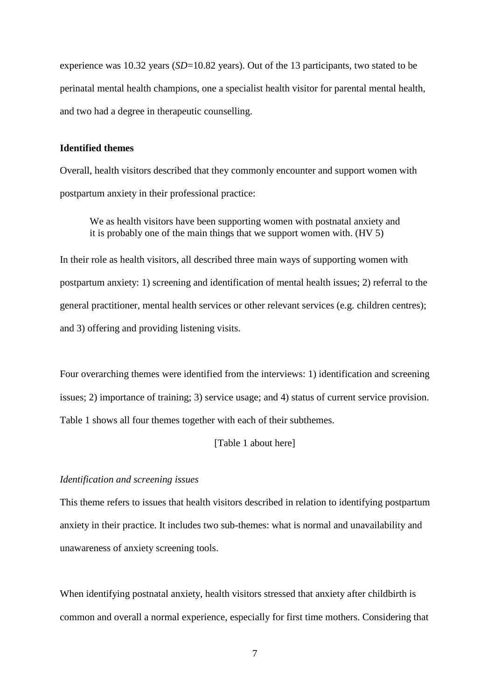experience was 10.32 years (*SD*=10.82 years). Out of the 13 participants, two stated to be perinatal mental health champions, one a specialist health visitor for parental mental health, and two had a degree in therapeutic counselling.

#### **Identified themes**

Overall, health visitors described that they commonly encounter and support women with postpartum anxiety in their professional practice:

We as health visitors have been supporting women with postnatal anxiety and it is probably one of the main things that we support women with. (HV 5)

In their role as health visitors, all described three main ways of supporting women with postpartum anxiety: 1) screening and identification of mental health issues; 2) referral to the general practitioner, mental health services or other relevant services (e.g. children centres); and 3) offering and providing listening visits.

Four overarching themes were identified from the interviews: 1) identification and screening issues; 2) importance of training; 3) service usage; and 4) status of current service provision. Table 1 shows all four themes together with each of their subthemes.

#### [Table 1 about here]

#### *Identification and screening issues*

This theme refers to issues that health visitors described in relation to identifying postpartum anxiety in their practice. It includes two sub-themes: what is normal and unavailability and unawareness of anxiety screening tools.

When identifying postnatal anxiety, health visitors stressed that anxiety after childbirth is common and overall a normal experience, especially for first time mothers. Considering that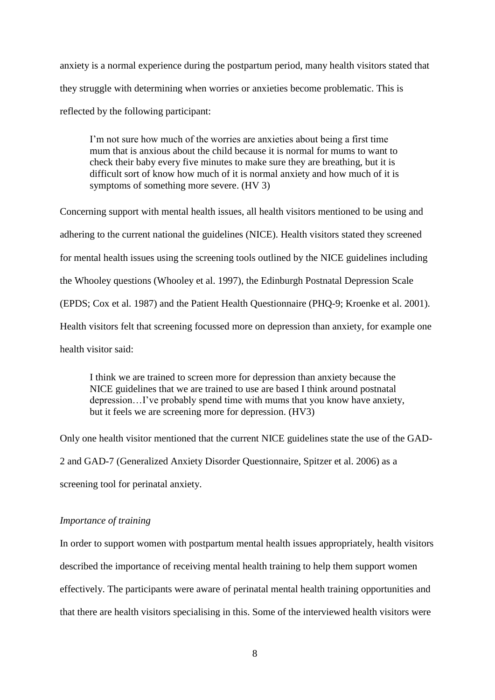anxiety is a normal experience during the postpartum period, many health visitors stated that they struggle with determining when worries or anxieties become problematic. This is reflected by the following participant:

I'm not sure how much of the worries are anxieties about being a first time mum that is anxious about the child because it is normal for mums to want to check their baby every five minutes to make sure they are breathing, but it is difficult sort of know how much of it is normal anxiety and how much of it is symptoms of something more severe. (HV 3)

Concerning support with mental health issues, all health visitors mentioned to be using and adhering to the current national the guidelines (NICE). Health visitors stated they screened for mental health issues using the screening tools outlined by the NICE guidelines including the Whooley questions (Whooley et al. 1997), the Edinburgh Postnatal Depression Scale (EPDS; Cox et al. 1987) and the Patient Health Questionnaire (PHQ-9; Kroenke et al. 2001). Health visitors felt that screening focussed more on depression than anxiety, for example one health visitor said:

I think we are trained to screen more for depression than anxiety because the NICE guidelines that we are trained to use are based I think around postnatal depression…I've probably spend time with mums that you know have anxiety, but it feels we are screening more for depression. (HV3)

Only one health visitor mentioned that the current NICE guidelines state the use of the GAD-2 and GAD-7 (Generalized Anxiety Disorder Questionnaire, Spitzer et al. 2006) as a screening tool for perinatal anxiety.

#### *Importance of training*

In order to support women with postpartum mental health issues appropriately, health visitors described the importance of receiving mental health training to help them support women effectively. The participants were aware of perinatal mental health training opportunities and that there are health visitors specialising in this. Some of the interviewed health visitors were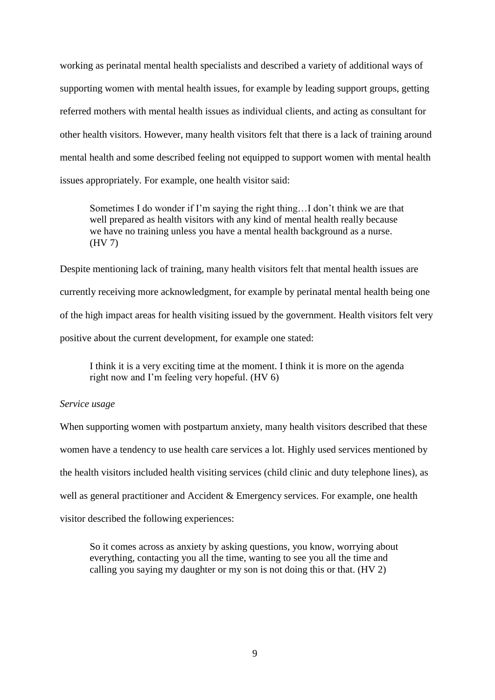working as perinatal mental health specialists and described a variety of additional ways of supporting women with mental health issues, for example by leading support groups, getting referred mothers with mental health issues as individual clients, and acting as consultant for other health visitors. However, many health visitors felt that there is a lack of training around mental health and some described feeling not equipped to support women with mental health issues appropriately. For example, one health visitor said:

Sometimes I do wonder if I'm saying the right thing…I don't think we are that well prepared as health visitors with any kind of mental health really because we have no training unless you have a mental health background as a nurse. (HV 7)

Despite mentioning lack of training, many health visitors felt that mental health issues are currently receiving more acknowledgment, for example by perinatal mental health being one of the high impact areas for health visiting issued by the government. Health visitors felt very positive about the current development, for example one stated:

I think it is a very exciting time at the moment. I think it is more on the agenda right now and I'm feeling very hopeful. (HV 6)

#### *Service usage*

When supporting women with postpartum anxiety, many health visitors described that these women have a tendency to use health care services a lot. Highly used services mentioned by the health visitors included health visiting services (child clinic and duty telephone lines), as well as general practitioner and Accident & Emergency services. For example, one health visitor described the following experiences:

So it comes across as anxiety by asking questions, you know, worrying about everything, contacting you all the time, wanting to see you all the time and calling you saying my daughter or my son is not doing this or that. (HV 2)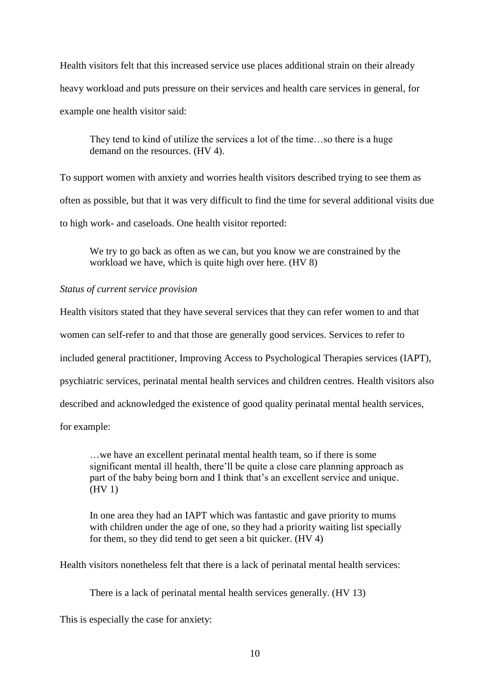Health visitors felt that this increased service use places additional strain on their already heavy workload and puts pressure on their services and health care services in general, for example one health visitor said:

They tend to kind of utilize the services a lot of the time…so there is a huge demand on the resources. (HV 4).

To support women with anxiety and worries health visitors described trying to see them as often as possible, but that it was very difficult to find the time for several additional visits due to high work- and caseloads. One health visitor reported:

We try to go back as often as we can, but you know we are constrained by the workload we have, which is quite high over here. (HV 8)

#### *Status of current service provision*

Health visitors stated that they have several services that they can refer women to and that

women can self-refer to and that those are generally good services. Services to refer to

included general practitioner, Improving Access to Psychological Therapies services (IAPT),

psychiatric services, perinatal mental health services and children centres. Health visitors also

described and acknowledged the existence of good quality perinatal mental health services,

for example:

…we have an excellent perinatal mental health team, so if there is some significant mental ill health, there'll be quite a close care planning approach as part of the baby being born and I think that's an excellent service and unique. (HV 1)

In one area they had an IAPT which was fantastic and gave priority to mums with children under the age of one, so they had a priority waiting list specially for them, so they did tend to get seen a bit quicker. (HV 4)

Health visitors nonetheless felt that there is a lack of perinatal mental health services:

There is a lack of perinatal mental health services generally. (HV 13)

This is especially the case for anxiety: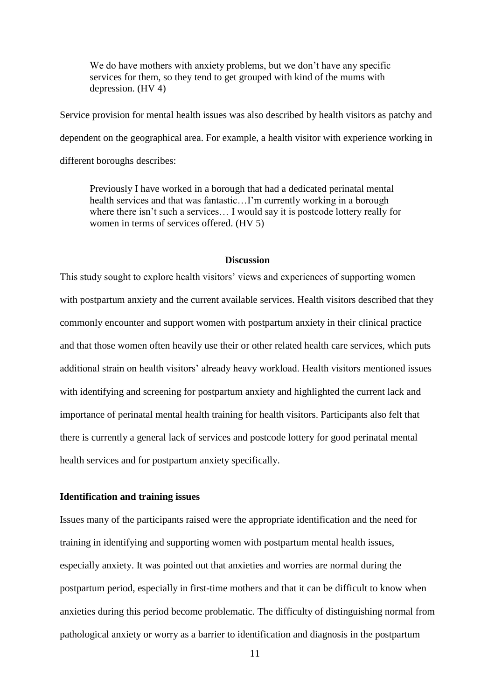We do have mothers with anxiety problems, but we don't have any specific services for them, so they tend to get grouped with kind of the mums with depression. (HV 4)

Service provision for mental health issues was also described by health visitors as patchy and dependent on the geographical area. For example, a health visitor with experience working in different boroughs describes:

Previously I have worked in a borough that had a dedicated perinatal mental health services and that was fantastic…I'm currently working in a borough where there isn't such a services… I would say it is postcode lottery really for women in terms of services offered. (HV 5)

#### **Discussion**

This study sought to explore health visitors' views and experiences of supporting women with postpartum anxiety and the current available services. Health visitors described that they commonly encounter and support women with postpartum anxiety in their clinical practice and that those women often heavily use their or other related health care services, which puts additional strain on health visitors' already heavy workload. Health visitors mentioned issues with identifying and screening for postpartum anxiety and highlighted the current lack and importance of perinatal mental health training for health visitors. Participants also felt that there is currently a general lack of services and postcode lottery for good perinatal mental health services and for postpartum anxiety specifically.

#### **Identification and training issues**

Issues many of the participants raised were the appropriate identification and the need for training in identifying and supporting women with postpartum mental health issues, especially anxiety. It was pointed out that anxieties and worries are normal during the postpartum period, especially in first-time mothers and that it can be difficult to know when anxieties during this period become problematic. The difficulty of distinguishing normal from pathological anxiety or worry as a barrier to identification and diagnosis in the postpartum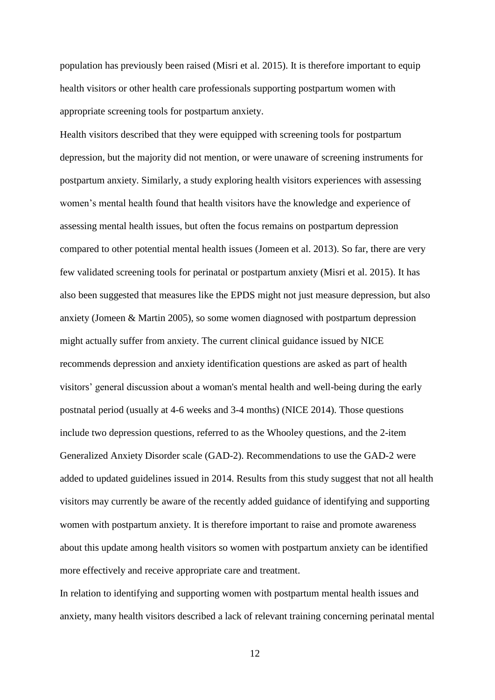population has previously been raised (Misri et al. 2015). It is therefore important to equip health visitors or other health care professionals supporting postpartum women with appropriate screening tools for postpartum anxiety.

Health visitors described that they were equipped with screening tools for postpartum depression, but the majority did not mention, or were unaware of screening instruments for postpartum anxiety. Similarly, a study exploring health visitors experiences with assessing women's mental health found that health visitors have the knowledge and experience of assessing mental health issues, but often the focus remains on postpartum depression compared to other potential mental health issues (Jomeen et al. 2013). So far, there are very few validated screening tools for perinatal or postpartum anxiety (Misri et al. 2015). It has also been suggested that measures like the EPDS might not just measure depression, but also anxiety (Jomeen & Martin 2005), so some women diagnosed with postpartum depression might actually suffer from anxiety. The current clinical guidance issued by NICE recommends depression and anxiety identification questions are asked as part of health visitors' general discussion about a woman's mental health and well-being during the early postnatal period (usually at 4-6 weeks and 3-4 months) (NICE 2014). Those questions include two depression questions, referred to as the Whooley questions, and the 2-item Generalized Anxiety Disorder scale (GAD-2). Recommendations to use the GAD-2 were added to updated guidelines issued in 2014. Results from this study suggest that not all health visitors may currently be aware of the recently added guidance of identifying and supporting women with postpartum anxiety. It is therefore important to raise and promote awareness about this update among health visitors so women with postpartum anxiety can be identified more effectively and receive appropriate care and treatment.

In relation to identifying and supporting women with postpartum mental health issues and anxiety, many health visitors described a lack of relevant training concerning perinatal mental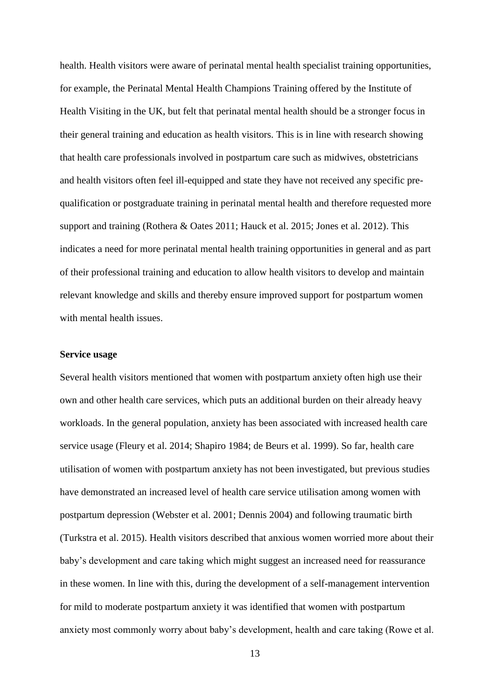health. Health visitors were aware of perinatal mental health specialist training opportunities, for example, the Perinatal Mental Health Champions Training offered by the Institute of Health Visiting in the UK, but felt that perinatal mental health should be a stronger focus in their general training and education as health visitors. This is in line with research showing that health care professionals involved in postpartum care such as midwives, obstetricians and health visitors often feel ill-equipped and state they have not received any specific prequalification or postgraduate training in perinatal mental health and therefore requested more support and training (Rothera & Oates 2011; Hauck et al. 2015; Jones et al. 2012). This indicates a need for more perinatal mental health training opportunities in general and as part of their professional training and education to allow health visitors to develop and maintain relevant knowledge and skills and thereby ensure improved support for postpartum women with mental health issues.

#### **Service usage**

Several health visitors mentioned that women with postpartum anxiety often high use their own and other health care services, which puts an additional burden on their already heavy workloads. In the general population, anxiety has been associated with increased health care service usage (Fleury et al. 2014; Shapiro 1984; de Beurs et al. 1999). So far, health care utilisation of women with postpartum anxiety has not been investigated, but previous studies have demonstrated an increased level of health care service utilisation among women with postpartum depression (Webster et al. 2001; Dennis 2004) and following traumatic birth (Turkstra et al. 2015). Health visitors described that anxious women worried more about their baby's development and care taking which might suggest an increased need for reassurance in these women. In line with this, during the development of a self-management intervention for mild to moderate postpartum anxiety it was identified that women with postpartum anxiety most commonly worry about baby's development, health and care taking (Rowe et al.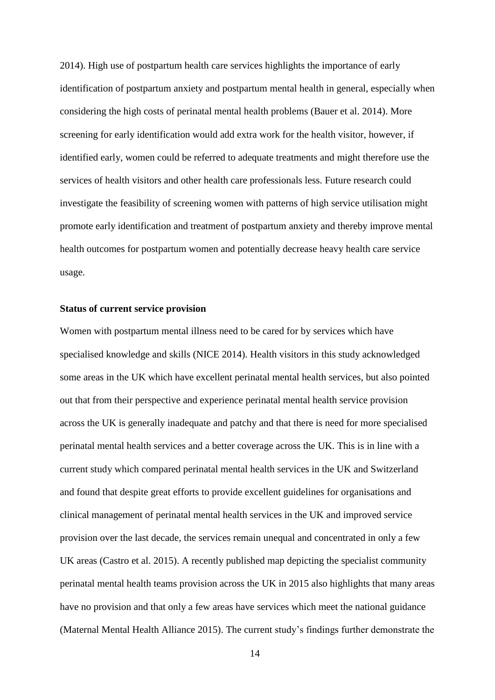2014). High use of postpartum health care services highlights the importance of early identification of postpartum anxiety and postpartum mental health in general, especially when considering the high costs of perinatal mental health problems (Bauer et al. 2014). More screening for early identification would add extra work for the health visitor, however, if identified early, women could be referred to adequate treatments and might therefore use the services of health visitors and other health care professionals less. Future research could investigate the feasibility of screening women with patterns of high service utilisation might promote early identification and treatment of postpartum anxiety and thereby improve mental health outcomes for postpartum women and potentially decrease heavy health care service usage.

#### **Status of current service provision**

Women with postpartum mental illness need to be cared for by services which have specialised knowledge and skills (NICE 2014). Health visitors in this study acknowledged some areas in the UK which have excellent perinatal mental health services, but also pointed out that from their perspective and experience perinatal mental health service provision across the UK is generally inadequate and patchy and that there is need for more specialised perinatal mental health services and a better coverage across the UK. This is in line with a current study which compared perinatal mental health services in the UK and Switzerland and found that despite great efforts to provide excellent guidelines for organisations and clinical management of perinatal mental health services in the UK and improved service provision over the last decade, the services remain unequal and concentrated in only a few UK areas (Castro et al. 2015). A recently published map depicting the specialist community perinatal mental health teams provision across the UK in 2015 also highlights that many areas have no provision and that only a few areas have services which meet the national guidance (Maternal Mental Health Alliance 2015). The current study's findings further demonstrate the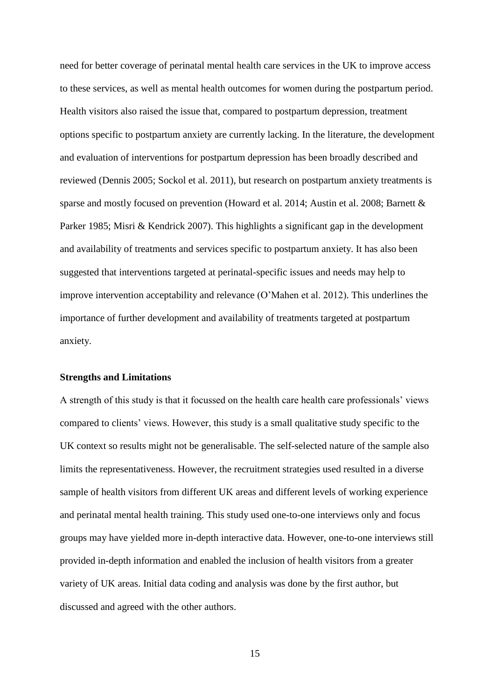need for better coverage of perinatal mental health care services in the UK to improve access to these services, as well as mental health outcomes for women during the postpartum period. Health visitors also raised the issue that, compared to postpartum depression, treatment options specific to postpartum anxiety are currently lacking. In the literature, the development and evaluation of interventions for postpartum depression has been broadly described and reviewed (Dennis 2005; Sockol et al. 2011), but research on postpartum anxiety treatments is sparse and mostly focused on prevention (Howard et al. 2014; Austin et al. 2008; Barnett & Parker 1985; Misri & Kendrick 2007). This highlights a significant gap in the development and availability of treatments and services specific to postpartum anxiety. It has also been suggested that interventions targeted at perinatal-specific issues and needs may help to improve intervention acceptability and relevance (O'Mahen et al. 2012). This underlines the importance of further development and availability of treatments targeted at postpartum anxiety.

#### **Strengths and Limitations**

A strength of this study is that it focussed on the health care health care professionals' views compared to clients' views. However, this study is a small qualitative study specific to the UK context so results might not be generalisable. The self-selected nature of the sample also limits the representativeness. However, the recruitment strategies used resulted in a diverse sample of health visitors from different UK areas and different levels of working experience and perinatal mental health training. This study used one-to-one interviews only and focus groups may have yielded more in-depth interactive data. However, one-to-one interviews still provided in-depth information and enabled the inclusion of health visitors from a greater variety of UK areas. Initial data coding and analysis was done by the first author, but discussed and agreed with the other authors.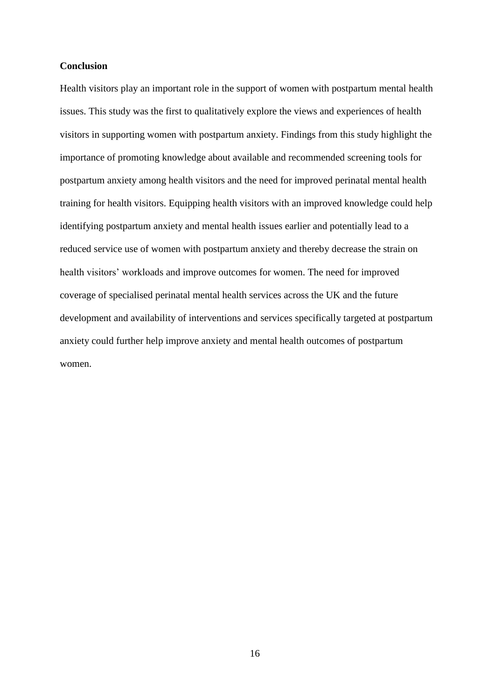#### **Conclusion**

Health visitors play an important role in the support of women with postpartum mental health issues. This study was the first to qualitatively explore the views and experiences of health visitors in supporting women with postpartum anxiety. Findings from this study highlight the importance of promoting knowledge about available and recommended screening tools for postpartum anxiety among health visitors and the need for improved perinatal mental health training for health visitors. Equipping health visitors with an improved knowledge could help identifying postpartum anxiety and mental health issues earlier and potentially lead to a reduced service use of women with postpartum anxiety and thereby decrease the strain on health visitors' workloads and improve outcomes for women. The need for improved coverage of specialised perinatal mental health services across the UK and the future development and availability of interventions and services specifically targeted at postpartum anxiety could further help improve anxiety and mental health outcomes of postpartum women.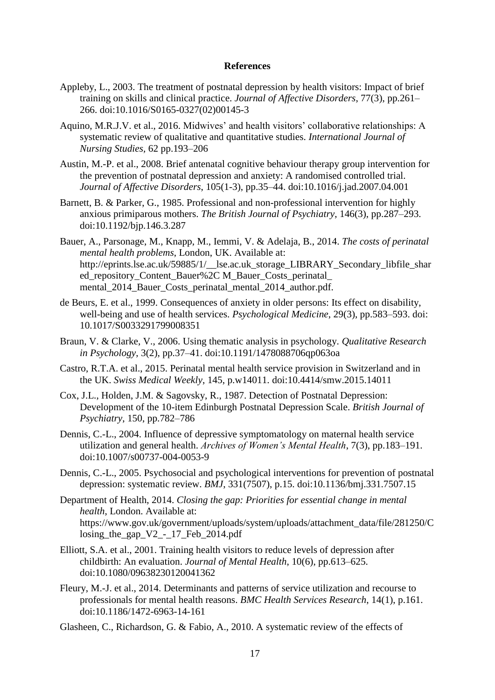#### **References**

- Appleby, L., 2003. The treatment of postnatal depression by health visitors: Impact of brief training on skills and clinical practice. *Journal of Affective Disorders*, 77(3), pp.261– 266. doi:10.1016/S0165-0327(02)00145-3
- Aquino, M.R.J.V. et al., 2016. Midwives' and health visitors' collaborative relationships: A systematic review of qualitative and quantitative studies. *International Journal of Nursing Studies,* 62 pp.193–206
- Austin, M.-P. et al., 2008. Brief antenatal cognitive behaviour therapy group intervention for the prevention of postnatal depression and anxiety: A randomised controlled trial. *Journal of Affective Disorders*, 105(1-3), pp.35–44. doi:10.1016/j.jad.2007.04.001
- Barnett, B. & Parker, G., 1985. Professional and non-professional intervention for highly anxious primiparous mothers. *The British Journal of Psychiatry*, 146(3), pp.287–293. doi:10.1192/bjp.146.3.287
- Bauer, A., Parsonage, M., Knapp, M., Iemmi, V. & Adelaja, B., 2014. *The costs of perinatal mental health problems*, London, UK. Available at: http://eprints.lse.ac.uk/59885/1/\_\_lse.ac.uk\_storage\_LIBRARY\_Secondary\_libfile\_shar ed\_repository\_Content\_Bauer%2C M\_Bauer\_Costs\_perinatal\_ mental 2014 Bauer Costs perinatal mental 2014 author.pdf.
- de Beurs, E. et al., 1999. Consequences of anxiety in older persons: Its effect on disability, well-being and use of health services. *Psychological Medicine*, 29(3), pp.583–593. doi: 10.1017/S0033291799008351
- Braun, V. & Clarke, V., 2006. Using thematic analysis in psychology. *Qualitative Research in Psychology*, 3(2), pp.37–41. doi:10.1191/1478088706qp063oa
- Castro, R.T.A. et al., 2015. Perinatal mental health service provision in Switzerland and in the UK. *Swiss Medical Weekly*, 145, p.w14011. doi:10.4414/smw.2015.14011
- Cox, J.L., Holden, J.M. & Sagovsky, R., 1987. Detection of Postnatal Depression: Development of the 10-item Edinburgh Postnatal Depression Scale. *British Journal of Psychiatry*, 150, pp.782–786
- Dennis, C.-L., 2004. Influence of depressive symptomatology on maternal health service utilization and general health. *Archives of Women's Mental Health*, 7(3), pp.183–191. doi:10.1007/s00737-004-0053-9
- Dennis, C.-L., 2005. Psychosocial and psychological interventions for prevention of postnatal depression: systematic review. *BMJ*, 331(7507), p.15. doi:10.1136/bmj.331.7507.15
- Department of Health, 2014. *Closing the gap: Priorities for essential change in mental health*, London. Available at: https://www.gov.uk/government/uploads/system/uploads/attachment\_data/file/281250/C losing the gap  $V2 - 17$  Feb 2014.pdf
- Elliott, S.A. et al., 2001. Training health visitors to reduce levels of depression after childbirth: An evaluation. *Journal of Mental Health*, 10(6), pp.613–625. doi:10.1080/09638230120041362
- Fleury, M.-J. et al., 2014. Determinants and patterns of service utilization and recourse to professionals for mental health reasons. *BMC Health Services Research*, 14(1), p.161. doi:10.1186/1472-6963-14-161
- Glasheen, C., Richardson, G. & Fabio, A., 2010. A systematic review of the effects of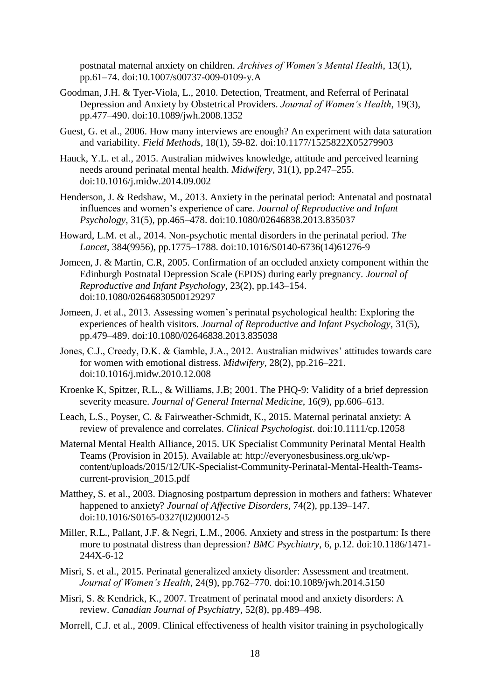postnatal maternal anxiety on children. *Archives of Women's Mental Health*, 13(1), pp.61–74. doi:10.1007/s00737-009-0109-y.A

- Goodman, J.H. & Tyer-Viola, L., 2010. Detection, Treatment, and Referral of Perinatal Depression and Anxiety by Obstetrical Providers. *Journal of Women's Health*, 19(3), pp.477–490. doi:10.1089/jwh.2008.1352
- Guest, G. et al., 2006. How many interviews are enough? An experiment with data saturation and variability. *Field Methods*, 18(1), 59-82. doi:10.1177/1525822X05279903
- Hauck, Y.L. et al., 2015. Australian midwives knowledge, attitude and perceived learning needs around perinatal mental health. *Midwifery*, 31(1), pp.247–255. doi:10.1016/j.midw.2014.09.002
- Henderson, J. & Redshaw, M., 2013. Anxiety in the perinatal period: Antenatal and postnatal influences and women's experience of care. *Journal of Reproductive and Infant Psychology*, 31(5), pp.465–478. doi:10.1080/02646838.2013.835037
- Howard, L.M. et al., 2014. Non-psychotic mental disorders in the perinatal period. *The Lancet*, 384(9956), pp.1775–1788. doi:10.1016/S0140-6736(14)61276-9
- Jomeen, J. & Martin, C.R, 2005. Confirmation of an occluded anxiety component within the Edinburgh Postnatal Depression Scale (EPDS) during early pregnancy. *Journal of Reproductive and Infant Psychology*, 23(2), pp.143–154. doi:10.1080/02646830500129297
- Jomeen, J. et al., 2013. Assessing women's perinatal psychological health: Exploring the experiences of health visitors. *Journal of Reproductive and Infant Psychology*, 31(5), pp.479–489. doi:10.1080/02646838.2013.835038
- Jones, C.J., Creedy, D.K. & Gamble, J.A., 2012. Australian midwives' attitudes towards care for women with emotional distress. *Midwifery*, 28(2), pp.216–221. doi:10.1016/j.midw.2010.12.008
- Kroenke K, Spitzer, R.L., & Williams, J.B; 2001. The PHQ-9: Validity of a brief depression severity measure. *Journal of General Internal Medicine*, 16(9), pp.606–613.
- Leach, L.S., Poyser, C. & Fairweather-Schmidt, K., 2015. Maternal perinatal anxiety: A review of prevalence and correlates. *Clinical Psychologist*. doi:10.1111/cp.12058
- Maternal Mental Health Alliance, 2015. UK Specialist Community Perinatal Mental Health Teams (Provision in 2015). Available at: http://everyonesbusiness.org.uk/wpcontent/uploads/2015/12/UK-Specialist-Community-Perinatal-Mental-Health-Teamscurrent-provision\_2015.pdf
- Matthey, S. et al., 2003. Diagnosing postpartum depression in mothers and fathers: Whatever happened to anxiety? *Journal of Affective Disorders*, 74(2), pp.139–147. doi:10.1016/S0165-0327(02)00012-5
- Miller, R.L., Pallant, J.F. & Negri, L.M., 2006. Anxiety and stress in the postpartum: Is there more to postnatal distress than depression? *BMC Psychiatry*, 6, p.12. doi:10.1186/1471- 244X-6-12
- Misri, S. et al., 2015. Perinatal generalized anxiety disorder: Assessment and treatment. *Journal of Women's Health*, 24(9), pp.762–770. doi:10.1089/jwh.2014.5150
- Misri, S. & Kendrick, K., 2007. Treatment of perinatal mood and anxiety disorders: A review. *Canadian Journal of Psychiatry*, 52(8), pp.489–498.
- Morrell, C.J. et al., 2009. Clinical effectiveness of health visitor training in psychologically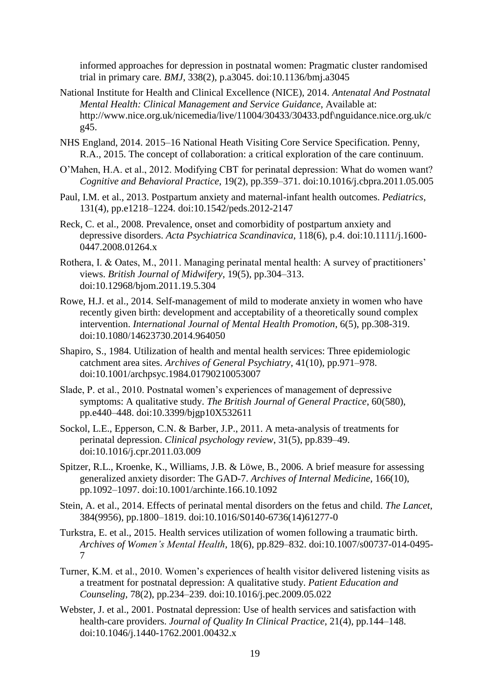informed approaches for depression in postnatal women: Pragmatic cluster randomised trial in primary care. *BMJ*, 338(2), p.a3045. doi:10.1136/bmj.a3045

- National Institute for Health and Clinical Excellence (NICE), 2014. *Antenatal And Postnatal Mental Health: Clinical Management and Service Guidance*, Available at: http://www.nice.org.uk/nicemedia/live/11004/30433/30433.pdf\nguidance.nice.org.uk/c g45.
- NHS England, 2014. 2015–16 National Heath Visiting Core Service Specification. Penny, R.A., 2015. The concept of collaboration: a critical exploration of the care continuum.
- O'Mahen, H.A. et al., 2012. Modifying CBT for perinatal depression: What do women want? *Cognitive and Behavioral Practice*, 19(2), pp.359–371. doi:10.1016/j.cbpra.2011.05.005
- Paul, I.M. et al., 2013. Postpartum anxiety and maternal-infant health outcomes. *Pediatrics*, 131(4), pp.e1218–1224. doi:10.1542/peds.2012-2147
- Reck, C. et al., 2008. Prevalence, onset and comorbidity of postpartum anxiety and depressive disorders. *Acta Psychiatrica Scandinavica*, 118(6), p.4. doi:10.1111/j.1600- 0447.2008.01264.x
- Rothera, I. & Oates, M., 2011. Managing perinatal mental health: A survey of practitioners' views. *British Journal of Midwifery*, 19(5), pp.304–313. doi:10.12968/bjom.2011.19.5.304
- Rowe, H.J. et al., 2014. Self-management of mild to moderate anxiety in women who have recently given birth: development and acceptability of a theoretically sound complex intervention. *International Journal of Mental Health Promotion*, 6(5), pp.308-319. doi:10.1080/14623730.2014.964050
- Shapiro, S., 1984. Utilization of health and mental health services: Three epidemiologic catchment area sites. *Archives of General Psychiatry*, 41(10), pp.971–978. doi:10.1001/archpsyc.1984.01790210053007
- Slade, P. et al., 2010. Postnatal women's experiences of management of depressive symptoms: A qualitative study. *The British Journal of General Practice*, 60(580), pp.e440–448. doi:10.3399/bjgp10X532611
- Sockol, L.E., Epperson, C.N. & Barber, J.P., 2011. A meta-analysis of treatments for perinatal depression. *Clinical psychology review*, 31(5), pp.839–49. doi:10.1016/j.cpr.2011.03.009
- Spitzer, R.L., Kroenke, K., Williams, J.B. & Löwe, B., 2006. A brief measure for assessing generalized anxiety disorder: The GAD-7. *Archives of Internal Medicine*, 166(10), pp.1092–1097. doi:10.1001/archinte.166.10.1092
- Stein, A. et al., 2014. Effects of perinatal mental disorders on the fetus and child. *The Lancet*, 384(9956), pp.1800–1819. doi:10.1016/S0140-6736(14)61277-0
- Turkstra, E. et al., 2015. Health services utilization of women following a traumatic birth. *Archives of Women's Mental Health*, 18(6), pp.829–832. doi:10.1007/s00737-014-0495- 7
- Turner, K.M. et al., 2010. Women's experiences of health visitor delivered listening visits as a treatment for postnatal depression: A qualitative study. *Patient Education and Counseling*, 78(2), pp.234–239. doi:10.1016/j.pec.2009.05.022
- Webster, J. et al., 2001. Postnatal depression: Use of health services and satisfaction with health-care providers. *Journal of Quality In Clinical Practice*, 21(4), pp.144–148. doi:10.1046/j.1440-1762.2001.00432.x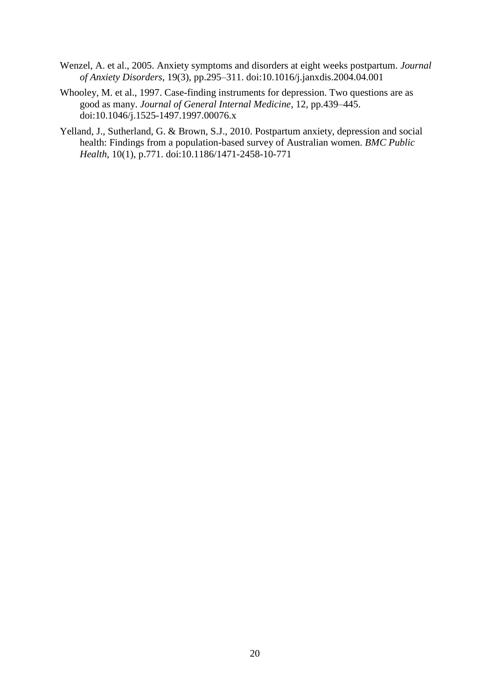- Wenzel, A. et al., 2005. Anxiety symptoms and disorders at eight weeks postpartum. *Journal of Anxiety Disorders*, 19(3), pp.295–311. doi:10.1016/j.janxdis.2004.04.001
- Whooley, M. et al., 1997. Case-finding instruments for depression. Two questions are as good as many. *Journal of General Internal Medicine*, 12, pp.439–445. doi:10.1046/j.1525-1497.1997.00076.x
- Yelland, J., Sutherland, G. & Brown, S.J., 2010. Postpartum anxiety, depression and social health: Findings from a population-based survey of Australian women. *BMC Public Health*, 10(1), p.771. doi:10.1186/1471-2458-10-771